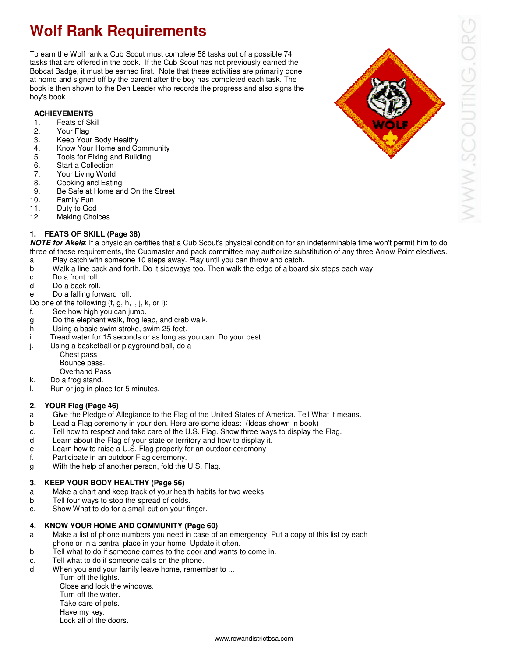# **Wolf Rank Requirements**

To earn the Wolf rank a Cub Scout must complete 58 tasks out of a possible 74 tasks that are offered in the book. If the Cub Scout has not previously earned the Bobcat Badge, it must be earned first. Note that these activities are primarily done at home and signed off by the parent after the boy has completed each task. The book is then shown to the Den Leader who records the progress and also signs the boy's book.

# **ACHIEVEMENTS**

# 1. Feats of Skill<br>2. Your Flag

- Your Flag
- 3. Keep Your Body Healthy
- 4. Know Your Home and Community
- 5. Tools for Fixing and Building
- 6. Start a Collection
- 7. Your Living World
- 8. Cooking and Eating
- 9. Be Safe at Home and On the Street<br>10. Family Fun
- Family Fun
- 11. Duty to God
- 12. Making Choices

#### **1. FEATS OF SKILL (Page 38)**

**NOTE for Akela**: If a physician certifies that a Cub Scout's physical condition for an indeterminable time won't permit him to do three of these requirements, the Cubmaster and pack committee may authorize substitution of any three Arrow Point electives.

- a. Play catch with someone 10 steps away. Play until you can throw and catch.
- b. Walk a line back and forth. Do it sideways too. Then walk the edge of a board six steps each way.
- c. Do a front roll.
- d. Do a back roll.
- e. Do a falling forward roll.
- Do one of the following (f, g, h, i, j, k, or l):
- f. See how high you can jump.
- g. Do the elephant walk, frog leap, and crab walk.<br>h. Using a basic swim stroke, swim 25 feet.
- Using a basic swim stroke, swim 25 feet.
- i. Tread water for 15 seconds or as long as you can. Do your best.
- j. Using a basketball or playground ball, do a
	- Chest pass
	- Bounce pass.
	- Overhand Pass
- k. Do a frog stand.
- l. Run or jog in place for 5 minutes.

#### **2. YOUR Flag (Page 46)**

- a. Give the Pledge of Allegiance to the Flag of the United States of America. Tell What it means.
- Lead a Flag ceremony in your den. Here are some ideas: (Ideas shown in book)
- c. Tell how to respect and take care of the U.S. Flag. Show three ways to display the Flag.
- d. Learn about the Flag of your state or territory and how to display it.
- e. Learn how to raise a U.S. Flag properly for an outdoor ceremony
- f. Participate in an outdoor Flag ceremony.
- g. With the help of another person, fold the U.S. Flag.

#### **3. KEEP YOUR BODY HEALTHY (Page 56)**

- a. Make a chart and keep track of your health habits for two weeks.
- b. Tell four ways to stop the spread of colds.
- c. Show What to do for a small cut on your finger.

#### **4. KNOW YOUR HOME AND COMMUNITY (Page 60)**

- a. Make a list of phone numbers you need in case of an emergency. Put a copy of this list by each phone or in a central place in your home. Update it often.<br>b. Tell what to do if someone comes to the door and wants to
- Tell what to do if someone comes to the door and wants to come in.
- c. Tell what to do if someone calls on the phone.
- d. When you and your family leave home, remember to ...
	- Turn off the lights. Close and lock the windows. Turn off the water. Take care of pets.
	- Have my key. Lock all of the doors.



WWW.SCOUTING.OI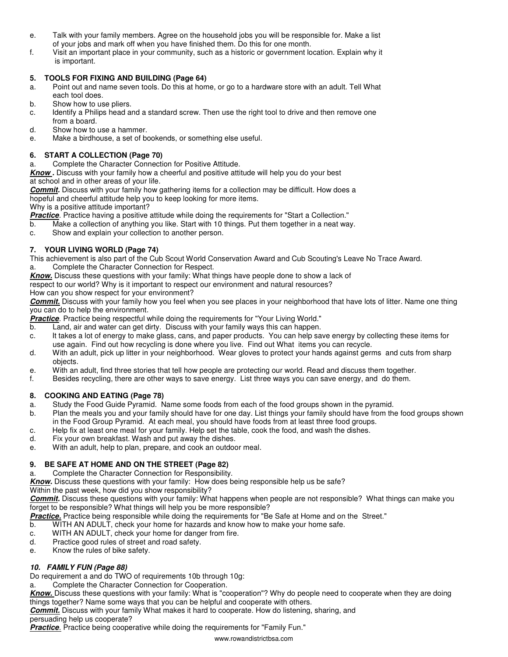- e. Talk with your family members. Agree on the household jobs you will be responsible for. Make a list of your jobs and mark off when you have finished them. Do this for one month.
- f. Visit an important place in your community, such as a historic or government location. Explain why it is important.

#### **5. TOOLS FOR FIXING AND BUILDING (Page 64)**

- a. Point out and name seven tools. Do this at home, or go to a hardware store with an adult. Tell What each tool does.<br>b. Show how to us
- Show how to use pliers.
- c. Identify a Philips head and a standard screw. Then use the right tool to drive and then remove one from a board.
- d. Show how to use a hammer.
- e. Make a birdhouse, a set of bookends, or something else useful.

# **6. START A COLLECTION (Page 70)**

- a. Complete the Character Connection for Positive Attitude.
- **Know .** Discuss with your family how a cheerful and positive attitude will help you do your best at school and in other areas of your life.

**Commit.** Discuss with your family how gathering items for a collection may be difficult. How does a

hopeful and cheerful attitude help you to keep looking for more items.

Why is a positive attitude important?

**Practice**. Practice having a positive attitude while doing the requirements for "Start a Collection."

- b. Make a collection of anything you like. Start with 10 things. Put them together in a neat way.<br>c. Show and explain your collection to another person.
- Show and explain your collection to another person.

# **7. YOUR LIVING WORLD (Page 74)**

This achievement is also part of the Cub Scout World Conservation Award and Cub Scouting's Leave No Trace Award. a. Complete the Character Connection for Respect.

**Know.** Discuss these questions with your family: What things have people done to show a lack of

respect to our world? Why is it important to respect our environment and natural resources?

How can you show respect for your environment?

**Commit.** Discuss with your family how you feel when you see places in your neighborhood that have lots of litter. Name one thing you can do to help the environment.

**Practice**. Practice being respectful while doing the requirements for "Your Living World."

- b. Land, air and water can get dirty. Discuss with your family ways this can happen.
- c. It takes a lot of energy to make glass, cans, and paper products. You can help save energy by collecting these items for use again. Find out how recycling is done where you live. Find out What items you can recycle.
- d. With an adult, pick up litter in your neighborhood. Wear gloves to protect your hands against germs and cuts from sharp objects.
- e. With an adult, find three stories that tell how people are protecting our world. Read and discuss them together.
- f. Besides recycling, there are other ways to save energy. List three ways you can save energy, and do them.

# **8. COOKING AND EATING (Page 78)**

- a. Study the Food Guide Pyramid. Name some foods from each of the food groups shown in the pyramid.
- b. Plan the meals you and your family should have for one day. List things your family should have from the food groups shown in the Food Group Pyramid. At each meal, you should have foods from at least three food groups.
- c. Help fix at least one meal for your family. Help set the table, cook the food, and wash the dishes.
- d. Fix your own breakfast. Wash and put away the dishes.
- e. With an adult, help to plan, prepare, and cook an outdoor meal.

# **9. BE SAFE AT HOME AND ON THE STREET (Page 82)**

a. Complete the Character Connection for Responsibility.

**Know.** Discuss these questions with your family: How does being responsible help us be safe?

Within the past week, how did you show responsibility?

**Commit.** Discuss these questions with your family: What happens when people are not responsible? What things can make you forget to be responsible? What things will help you be more responsible?

**Practice.** Practice being responsible while doing the requirements for "Be Safe at Home and on the Street."

- b. WITH AN ADULT, check your home for hazards and know how to make your home safe.
- c. WITH AN ADULT, check your home for danger from fire.<br>d. Practice good rules of street and road safety.
- Practice good rules of street and road safety.
- e. Know the rules of bike safety.

# **10. FAMILY FUN (Page 88)**

Do requirement a and do TWO of requirements 10b through 10g:

a. Complete the Character Connection for Cooperation.

**Know.** Discuss these questions with your family: What is "cooperation"? Why do people need to cooperate when they are doing things together? Name some ways that you can be helpful and cooperate with others.

**Commit.** Discuss with your family What makes it hard to cooperate. How do listening, sharing, and

persuading help us cooperate?

**Practice**. Practice being cooperative while doing the requirements for "Family Fun."